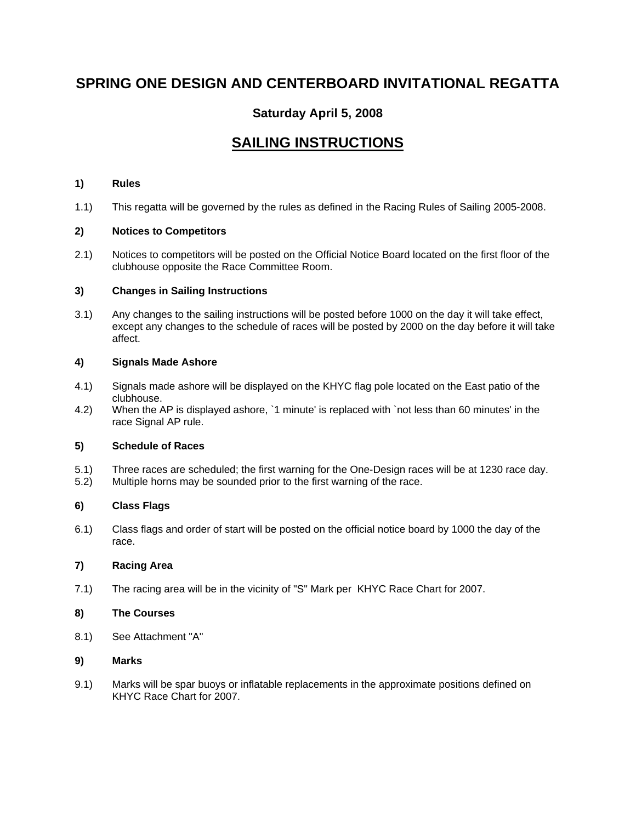# **SPRING ONE DESIGN AND CENTERBOARD INVITATIONAL REGATTA**

## **Saturday April 5, 2008**

## **SAILING INSTRUCTIONS**

#### **1) Rules**

1.1) This regatta will be governed by the rules as defined in the Racing Rules of Sailing 2005-2008.

#### **2) Notices to Competitors**

2.1) Notices to competitors will be posted on the Official Notice Board located on the first floor of the clubhouse opposite the Race Committee Room.

#### **3) Changes in Sailing Instructions**

3.1) Any changes to the sailing instructions will be posted before 1000 on the day it will take effect, except any changes to the schedule of races will be posted by 2000 on the day before it will take affect.

#### **4) Signals Made Ashore**

- 4.1) Signals made ashore will be displayed on the KHYC flag pole located on the East patio of the clubhouse.
- 4.2) When the AP is displayed ashore, `1 minute' is replaced with `not less than 60 minutes' in the race Signal AP rule.

#### **5) Schedule of Races**

- 5.1) Three races are scheduled; the first warning for the One-Design races will be at 1230 race day. 5.2) Multiple horns may be sounded prior to the first warning of the race.
- 

## **6) Class Flags**

6.1) Class flags and order of start will be posted on the official notice board by 1000 the day of the race.

#### **7) Racing Area**

7.1) The racing area will be in the vicinity of "S" Mark per KHYC Race Chart for 2007.

#### **8) The Courses**

8.1) See Attachment "A"

#### **9) Marks**

9.1) Marks will be spar buoys or inflatable replacements in the approximate positions defined on KHYC Race Chart for 2007.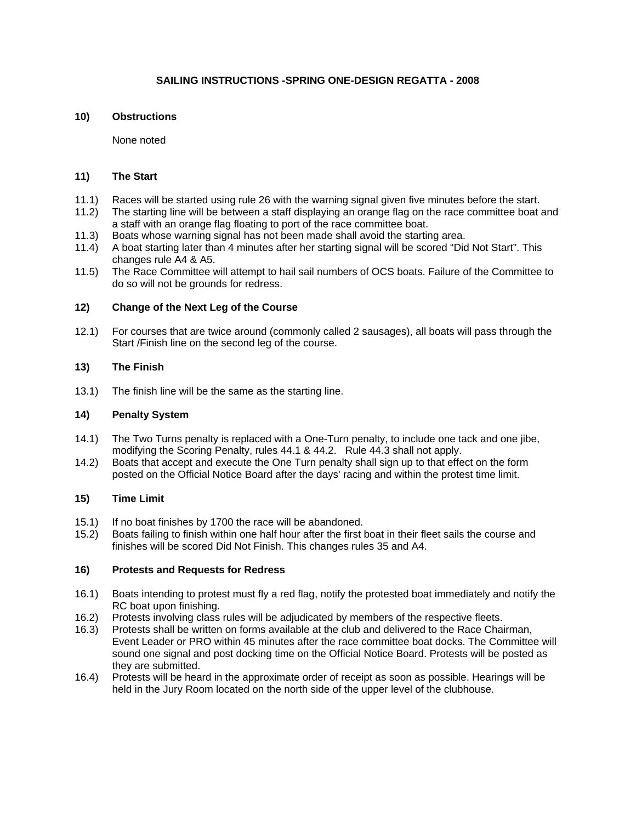## **SAILING INSTRUCTIONS -SPRING ONE-DESIGN REGATTA - 2008**

#### **10) Obstructions**

None noted

#### **11) The Start**

- 11.1) Races will be started using rule 26 with the warning signal given five minutes before the start.
- 11.2) The starting line will be between a staff displaying an orange flag on the race committee boat and a staff with an orange flag floating to port of the race committee boat.
- 11.3) Boats whose warning signal has not been made shall avoid the starting area.
- 11.4) A boat starting later than 4 minutes after her starting signal will be scored "Did Not Start". This changes rule A4 & A5.
- 11.5) The Race Committee will attempt to hail sail numbers of OCS boats. Failure of the Committee to do so will not be grounds for redress.

#### **12) Change of the Next Leg of the Course**

12.1) For courses that are twice around (commonly called 2 sausages), all boats will pass through the Start /Finish line on the second leg of the course.

#### **13) The Finish**

13.1) The finish line will be the same as the starting line.

#### **14) Penalty System**

- 14.1) The Two Turns penalty is replaced with a One-Turn penalty, to include one tack and one jibe, modifying the Scoring Penalty, rules 44.1 & 44.2. Rule 44.3 shall not apply.
- 14.2) Boats that accept and execute the One Turn penalty shall sign up to that effect on the form posted on the Official Notice Board after the days' racing and within the protest time limit.

#### **15) Time Limit**

- 15.1) If no boat finishes by 1700 the race will be abandoned.
- 15.2) Boats failing to finish within one half hour after the first boat in their fleet sails the course and finishes will be scored Did Not Finish. This changes rules 35 and A4.

#### **16) Protests and Requests for Redress**

- 16.1) Boats intending to protest must fly a red flag, notify the protested boat immediately and notify the RC boat upon finishing.
- 16.2) Protests involving class rules will be adjudicated by members of the respective fleets.
- 16.3) Protests shall be written on forms available at the club and delivered to the Race Chairman, Event Leader or PRO within 45 minutes after the race committee boat docks. The Committee will sound one signal and post docking time on the Official Notice Board. Protests will be posted as they are submitted.
- 16.4) Protests will be heard in the approximate order of receipt as soon as possible. Hearings will be held in the Jury Room located on the north side of the upper level of the clubhouse.